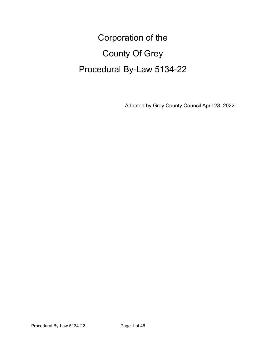# Corporation of the County Of Grey Procedural By-Law 5134-22

Adopted by Grey County Council April 28, 2022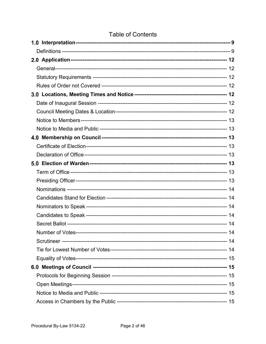### **Table of Contents**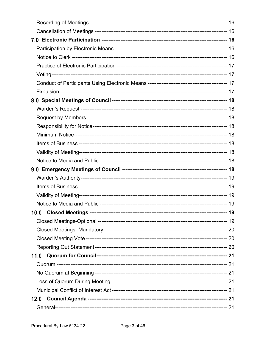| 11.0 |  |
|------|--|
|      |  |
|      |  |
|      |  |
|      |  |
| 12.0 |  |
|      |  |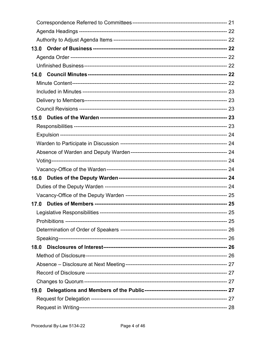| 13.0 |  |
|------|--|
|      |  |
|      |  |
| 14.0 |  |
|      |  |
|      |  |
|      |  |
|      |  |
| 15.0 |  |
|      |  |
|      |  |
|      |  |
|      |  |
|      |  |
|      |  |
| 16.0 |  |
|      |  |
|      |  |
| 17.0 |  |
|      |  |
|      |  |
|      |  |
|      |  |
| 18.0 |  |
|      |  |
|      |  |
|      |  |
|      |  |
| 19.0 |  |
|      |  |
|      |  |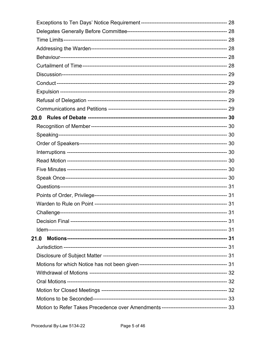| 21.0 |  |
|------|--|
|      |  |
|      |  |
|      |  |
|      |  |
|      |  |
|      |  |
|      |  |
|      |  |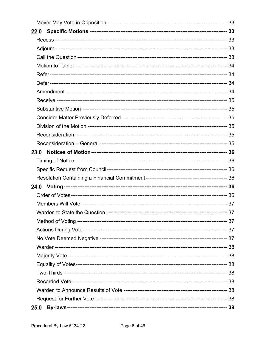| 23.0 |  |
|------|--|
|      |  |
|      |  |
|      |  |
| 24.0 |  |
|      |  |
|      |  |
|      |  |
|      |  |
|      |  |
|      |  |
|      |  |
|      |  |
|      |  |
|      |  |
|      |  |
|      |  |
|      |  |
| 25.0 |  |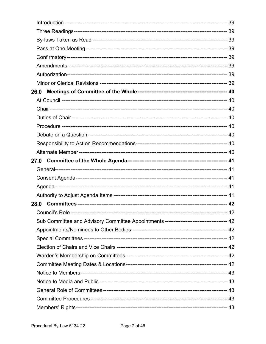| 26.0 |                                                                                         |  |
|------|-----------------------------------------------------------------------------------------|--|
|      |                                                                                         |  |
|      |                                                                                         |  |
|      |                                                                                         |  |
|      |                                                                                         |  |
|      |                                                                                         |  |
|      |                                                                                         |  |
|      |                                                                                         |  |
|      |                                                                                         |  |
|      |                                                                                         |  |
|      |                                                                                         |  |
|      |                                                                                         |  |
|      |                                                                                         |  |
|      |                                                                                         |  |
|      |                                                                                         |  |
|      | Sub Committee and Advisory Committee Appointments ---------------------------------- 42 |  |
|      |                                                                                         |  |
|      |                                                                                         |  |
|      |                                                                                         |  |
|      |                                                                                         |  |
|      |                                                                                         |  |
|      |                                                                                         |  |
|      |                                                                                         |  |
|      |                                                                                         |  |
|      |                                                                                         |  |
|      |                                                                                         |  |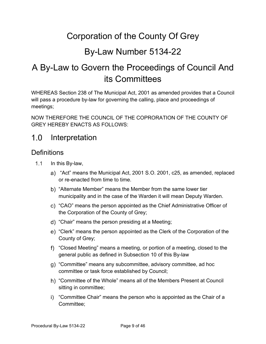## Corporation of the County Of Grey

## By-Law Number 5134-22

## A By-Law to Govern the Proceedings of Council And its Committees

WHEREAS Section 238 of The Municipal Act, 2001 as amended provides that a Council will pass a procedure by-law for governing the calling, place and proceedings of meetings;

NOW THEREFORE THE COUNCIL OF THE COPRORATION OF THE COUNTY OF GREY HEREBY ENACTS AS FOLLOWS:

#### <span id="page-8-0"></span> $1.0$ Interpretation

#### <span id="page-8-1"></span>**Definitions**

- $1.1$ In this By-law,
	- "Act" means the Municipal Act, 2001 S.O. 2001, c25, as amended, replaced or re-enacted from time to time.
	- "Alternate Member" means the Member from the same lower tier municipality and in the case of the Warden it will mean Deputy Warden.
	- "CAO" means the person appointed as the Chief Administrative Officer of the Corporation of the County of Grey;
	- "Chair" means the person presiding at a Meeting;
	- "Clerk" means the person appointed as the Clerk of the Corporation of the County of Grey;
	- "Closed Meeting" means a meeting, or portion of a meeting, closed to the general public as defined in Subsection 10 of this By-law
	- "Committee" means any subcommittee, advisory committee, ad hoc committee or task force established by Council;
	- "Committee of the Whole" means all of the Members Present at Council sitting in committee;
	- i) "Committee Chair" means the person who is appointed as the Chair of a Committee;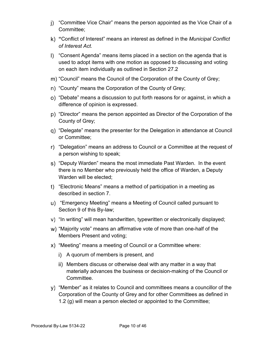- "Committee Vice Chair" means the person appointed as the Vice Chair of a Committee;
- **"**Conflict of Interest" means an interest as defined in the *Municipal Conflict of Interest Act.*
- "Consent Agenda" means items placed in a section on the agenda that is used to adopt items with one motion as opposed to discussing and voting on each item individually as outlined in Section 27.2
- m) "Council" means the Council of the Corporation of the County of Grey;
- n) "County" means the Corporation of the County of Grey;
- "Debate" means a discussion to put forth reasons for or against, in which a difference of opinion is expressed.
- "Director" means the person appointed as Director of the Corporation of the County of Grey;
- "Delegate" means the presenter for the Delegation in attendance at Council or Committee;
- "Delegation" means an address to Council or a Committee at the request of a person wishing to speak;
- "Deputy Warden" means the most immediate Past Warden. In the event there is no Member who previously held the office of Warden, a Deputy Warden will be elected;
- "Electronic Means" means a method of participation in a meeting as described in section 7.
- "Emergency Meeting" means a Meeting of Council called pursuant to Section 9 of this By-law;
- "In writing" will mean handwritten, typewritten or electronically displayed;
- "Majority vote" means an affirmative vote of more than one-half of the Members Present and voting;
- "Meeting" means a meeting of Council or a Committee where:
	- i) A quorum of members is present, and
	- Members discuss or otherwise deal with any matter in a way that materially advances the business or decision-making of the Council or Committee.
- $\gamma$ ) "Member" as it relates to Council and committees means a councillor of the Corporation of the County of Grey and for other Committees as defined in 1.2 (g) will mean a person elected or appointed to the Committee;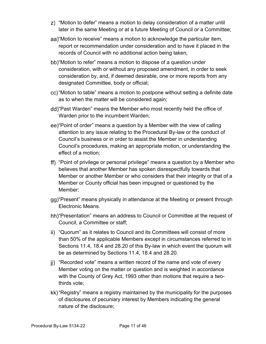- "Motion to defer" means a motion to delay consideration of a matter until later in the same Meeting or at a future Meeting of Council or a Committee;
- aa) "Motion to receive" means a motion to acknowledge the particular item, report or recommendation under consideration and to have it placed in the records of Council with no additional action being taken;
- bb) "Motion to refer" means a motion to dispose of a question under consideration, with or without any proposed amendment, in order to seek consideration by, and, if deemed desirable, one or more reports from any designated Committee, body or official;
- "Motion to table" means a motion to postpone without setting a definite date as to when the matter will be considered again;
- dd) "Past Warden" means the Member who most recently held the office of Warden prior to the incumbent Warden;
- "Point of order" means a question by a Member with the view of calling attention to any issue relating to the Procedural By-law or the conduct of Council's business or in order to assist the Member in understanding Council's procedures, making an appropriate motion, or understanding the effect of a motion;
- "Point of privilege or personal privilege" means a question by a Member who believes that another Member has spoken disrespectfully towards that Member or another Member or who considers that their integrity or that of a Member or County official has been impugned or questioned by the Member;
- gg) "Present" means physically in attendance at the Meeting or present through Electronic Means.
- hh) "Presentation" means an address to Council or Committee at the request of Council, a Committee or staff;
- ii) "Quorum" as it relates to Council and its Committees will consist of more than 50% of the applicable Members except in circumstances referred to in Sections 11.4, 18.4 and 28.20 of this By-law in which event the quorum will be as determined by Sections 11.4, 18.4 and 28.20.
- ji) "Recorded vote" means a written record of the name and vote of every Member voting on the matter or question and is weighted in accordance with the County of Grey Act, 1993 other than motions that require a twothirds vote;
- kk) "Registry" means a registry maintained by the municipality for the purposes of disclosures of pecuniary interest by Members indicating the general nature of the disclosure;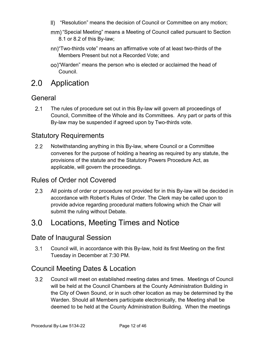- "Resolution" means the decision of Council or Committee on any motion;
- mm) "Special Meeting" means a Meeting of Council called pursuant to Section 8.1 or 8.2 of this By-law;
- "Two-thirds vote" means an affirmative vote of at least two-thirds of the Members Present but not a Recorded Vote; and
- "Warden" means the person who is elected or acclaimed the head of Council.

#### <span id="page-11-0"></span>2.0 Application

#### <span id="page-11-1"></span>General

 $2.1$ The rules of procedure set out in this By-law will govern all proceedings of Council, Committee of the Whole and its Committees. Any part or parts of this By-law may be suspended if agreed upon by Two-thirds vote.

#### <span id="page-11-2"></span>Statutory Requirements

 $2.2$ Notwithstanding anything in this By-law, where Council or a Committee convenes for the purpose of holding a hearing as required by any statute, the provisions of the statute and the Statutory Powers Procedure Act, as applicable, will govern the proceedings.

#### <span id="page-11-3"></span>Rules of Order not Covered

 $2.3$ All points of order or procedure not provided for in this By-law will be decided in accordance with Robert's Rules of Order. The Clerk may be called upon to provide advice regarding procedural matters following which the Chair will submit the ruling without Debate.

#### <span id="page-11-4"></span> $3.0$ Locations, Meeting Times and Notice

#### <span id="page-11-5"></span>Date of Inaugural Session

 $3.1$ Council will, in accordance with this By-law, hold its first Meeting on the first Tuesday in December at 7:30 PM.

#### <span id="page-11-6"></span>Council Meeting Dates & Location

 $3.2$ Council will meet on established meeting dates and times. Meetings of Council will be held at the Council Chambers at the County Administration Building in the City of Owen Sound, or in such other location as may be determined by the Warden. Should all Members participate electronically, the Meeting shall be deemed to be held at the County Administration Building. When the meetings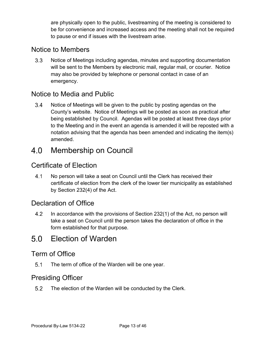are physically open to the public, livestreaming of the meeting is considered to be for convenience and increased access and the meeting shall not be required to pause or end if issues with the livestream arise.

#### <span id="page-12-0"></span>Notice to Members

 $3.3$ Notice of Meetings including agendas, minutes and supporting documentation will be sent to the Members by electronic mail, regular mail, or courier. Notice may also be provided by telephone or personal contact in case of an emergency.

#### <span id="page-12-1"></span>Notice to Media and Public

 $3.4$ Notice of Meetings will be given to the public by posting agendas on the County's website. Notice of Meetings will be posted as soon as practical after being established by Council. Agendas will be posted at least three days prior to the Meeting and in the event an agenda is amended it will be reposted with a notation advising that the agenda has been amended and indicating the item(s) amended.

#### <span id="page-12-2"></span> $4.0$ Membership on Council

#### <span id="page-12-3"></span>Certificate of Election

 $4.1$ No person will take a seat on Council until the Clerk has received their certificate of election from the clerk of the lower tier municipality as established by Section 232(4) of the Act.

#### <span id="page-12-4"></span>Declaration of Office

 $4.2$ In accordance with the provisions of Section 232(1) of the Act, no person will take a seat on Council until the person takes the declaration of office in the form established for that purpose.

### <span id="page-12-5"></span>Election of Warden

#### <span id="page-12-6"></span>Term of Office

 $5.1$ The term of office of the Warden will be one year.

#### <span id="page-12-7"></span>Presiding Officer

 $5.2$ The election of the Warden will be conducted by the Clerk.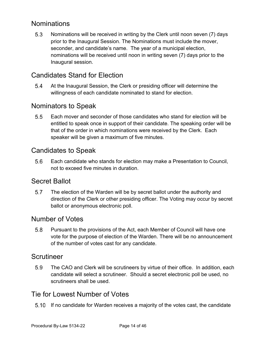#### <span id="page-13-0"></span>**Nominations**

 $5.3$ Nominations will be received in writing by the Clerk until noon seven (7) days prior to the Inaugural Session. The Nominations must include the mover, seconder, and candidate's name. The year of a municipal election, nominations will be received until noon in writing seven (7) days prior to the Inaugural session.

#### <span id="page-13-1"></span>Candidates Stand for Election

5.4 At the Inaugural Session, the Clerk or presiding officer will determine the willingness of each candidate nominated to stand for election.

#### <span id="page-13-2"></span>Nominators to Speak

 $5.5$ Each mover and seconder of those candidates who stand for election will be entitled to speak once in support of their candidate. The speaking order will be that of the order in which nominations were received by the Clerk. Each speaker will be given a maximum of five minutes.

#### <span id="page-13-3"></span>Candidates to Speak

 $5.6$ Each candidate who stands for election may make a Presentation to Council, not to exceed five minutes in duration.

#### <span id="page-13-4"></span>Secret Ballot

 $5.7$ The election of the Warden will be by secret ballot under the authority and direction of the Clerk or other presiding officer. The Voting may occur by secret ballot or anonymous electronic poll.

#### <span id="page-13-5"></span>Number of Votes

 $5.8$ Pursuant to the provisions of the Act, each Member of Council will have one vote for the purpose of election of the Warden. There will be no announcement of the number of votes cast for any candidate.

#### <span id="page-13-6"></span>Scrutineer

5.9 The CAO and Clerk will be scrutineers by virtue of their office. In addition, each candidate will select a scrutineer. Should a secret electronic poll be used, no scrutineers shall be used.

#### <span id="page-13-7"></span>Tie for Lowest Number of Votes

If no candidate for Warden receives a majority of the votes cast, the candidate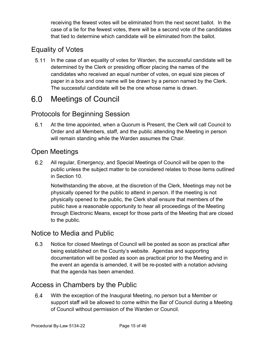receiving the fewest votes will be eliminated from the next secret ballot. In the case of a tie for the fewest votes, there will be a second vote of the candidates that tied to determine which candidate will be eliminated from the ballot.

### <span id="page-14-0"></span>Equality of Votes

5.11 In the case of an equality of votes for Warden, the successful candidate will be determined by the Clerk or presiding officer placing the names of the candidates who received an equal number of votes, on equal size pieces of paper in a box and one name will be drawn by a person named by the Clerk. The successful candidate will be the one whose name is drawn.

#### <span id="page-14-1"></span> $6.0$ Meetings of Council

#### <span id="page-14-2"></span>Protocols for Beginning Session

 $6.1$ At the time appointed, when a Quorum is Present, the Clerk will call Council to Order and all Members, staff, and the public attending the Meeting in person will remain standing while the Warden assumes the Chair.

#### <span id="page-14-3"></span>Open Meetings

 $6.2$ All regular, Emergency, and Special Meetings of Council will be open to the public unless the subject matter to be considered relates to those items outlined in Section 10.

Notwithstanding the above, at the discretion of the Clerk, Meetings may not be physically opened for the public to attend in person. If the meeting is not physically opened to the public, the Clerk shall ensure that members of the public have a reasonable opportunity to hear all proceedings of the Meeting through Electronic Means, except for those parts of the Meeting that are closed to the public.

#### <span id="page-14-4"></span>Notice to Media and Public

6.3 Notice for closed Meetings of Council will be posted as soon as practical after being established on the County's website. Agendas and supporting documentation will be posted as soon as practical prior to the Meeting and in the event an agenda is amended, it will be re-posted with a notation advising that the agenda has been amended.

#### <span id="page-14-5"></span>Access in Chambers by the Public

6.4 With the exception of the Inaugural Meeting, no person but a Member or support staff will be allowed to come within the Bar of Council during a Meeting of Council without permission of the Warden or Council.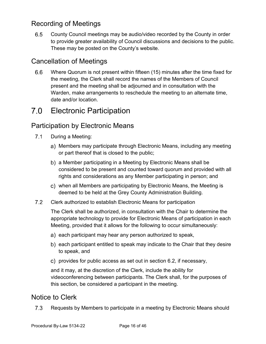### <span id="page-15-0"></span>Recording of Meetings

6.5 County Council meetings may be audio/video recorded by the County in order to provide greater availability of Council discussions and decisions to the public. These may be posted on the County's website.

### <span id="page-15-1"></span>Cancellation of Meetings

 $6.6$ Where Quorum is not present within fifteen (15) minutes after the time fixed for the meeting, the Clerk shall record the names of the Members of Council present and the meeting shall be adjourned and in consultation with the Warden, make arrangements to reschedule the meeting to an alternate time, date and/or location.

#### <span id="page-15-2"></span> $7.0$ Electronic Participation

#### <span id="page-15-3"></span>Participation by Electronic Means

- $7.1$ During a Meeting:
	- a) Members may participate through Electronic Means, including any meeting or part thereof that is closed to the public;
	- a Member participating in a Meeting by Electronic Means shall be considered to be present and counted toward quorum and provided with all rights and considerations as any Member participating in person; and
	- when all Members are participating by Electronic Means, the Meeting is deemed to be held at the Grey County Administration Building.
- $7.2$ Clerk authorized to establish Electronic Means for participation

The Clerk shall be authorized, in consultation with the Chair to determine the appropriate technology to provide for Electronic Means of participation in each Meeting, provided that it allows for the following to occur simultaneously:

- a) each participant may hear any person authorized to speak,
- b) each participant entitled to speak may indicate to the Chair that they desire to speak, and
- c) provides for public access as set out in section 6.2, if necessary,

and it may, at the discretion of the Clerk, include the ability for videoconferencing between participants. The Clerk shall, for the purposes of this section, be considered a participant in the meeting.

#### <span id="page-15-4"></span>Notice to Clerk

 $7.3$ Requests by Members to participate in a meeting by Electronic Means should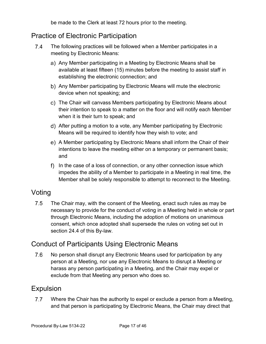be made to the Clerk at least 72 hours prior to the meeting.

#### <span id="page-16-0"></span>Practice of Electronic Participation

- $7.4$ The following practices will be followed when a Member participates in a meeting by Electronic Means:
	- a) Any Member participating in a Meeting by Electronic Means shall be available at least fifteen (15) minutes before the meeting to assist staff in establishing the electronic connection; and
	- b) Any Member participating by Electronic Means will mute the electronic device when not speaking; and
	- The Chair will canvass Members participating by Electronic Means about their intention to speak to a matter on the floor and will notify each Member when it is their turn to speak; and
	- After putting a motion to a vote, any Member participating by Electronic Means will be required to identify how they wish to vote; and
	- A Member participating by Electronic Means shall inform the Chair of their intentions to leave the meeting either on a temporary or permanent basis; and
	- f) In the case of a loss of connection, or any other connection issue which impedes the ability of a Member to participate in a Meeting in real time, the Member shall be solely responsible to attempt to reconnect to the Meeting.

#### <span id="page-16-1"></span>Voting

 $7.5$ The Chair may, with the consent of the Meeting, enact such rules as may be necessary to provide for the conduct of voting in a Meeting held in whole or part through Electronic Means, including the adoption of motions on unanimous consent, which once adopted shall supersede the rules on voting set out in section 24.4 of this By-law.

#### <span id="page-16-2"></span>Conduct of Participants Using Electronic Means

7.6 No person shall disrupt any Electronic Means used for participation by any person at a Meeting, nor use any Electronic Means to disrupt a Meeting or harass any person participating in a Meeting, and the Chair may expel or exclude from that Meeting any person who does so.

#### <span id="page-16-3"></span>Expulsion

 $7.7$ Where the Chair has the authority to expel or exclude a person from a Meeting, and that person is participating by Electronic Means, the Chair may direct that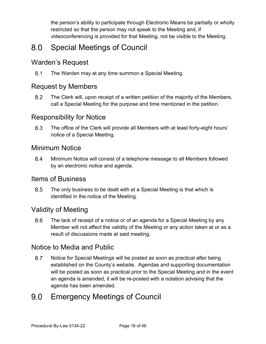the person's ability to participate through Electronic Means be partially or wholly restricted so that the person may not speak to the Meeting and, if videoconferencing is provided for that Meeting, not be visible to the Meeting.

#### <span id="page-17-0"></span> $8.0$ Special Meetings of Council

#### <span id="page-17-1"></span>Warden's Request

 $8.1$ The Warden may at any time summon a Special Meeting.

#### <span id="page-17-2"></span>Request by Members

 $8.2$ The Clerk will, upon receipt of a written petition of the majority of the Members, call a Special Meeting for the purpose and time mentioned in the petition.

#### <span id="page-17-3"></span>Responsibility for Notice

8.3 The office of the Clerk will provide all Members with at least forty-eight hours' notice of a Special Meeting.

#### <span id="page-17-4"></span>Minimum Notice

8.4 Minimum Notice will consist of a telephone message to all Members followed by an electronic notice and agenda.

#### <span id="page-17-5"></span>Items of Business

8.5 The only business to be dealt with at a Special Meeting is that which is identified in the notice of the Meeting.

#### <span id="page-17-6"></span>Validity of Meeting

 $8.6$ The lack of receipt of a notice or of an agenda for a Special Meeting by any Member will not affect the validity of the Meeting or any action taken at or as a result of discussions made at said meeting.

#### <span id="page-17-7"></span>Notice to Media and Public

8.7 Notice for Special Meetings will be posted as soon as practical after being established on the County's website. Agendas and supporting documentation will be posted as soon as practical prior to the Special Meeting and in the event an agenda is amended, it will be re-posted with a notation advising that the agenda has been amended.

#### <span id="page-17-8"></span> $9.0$ Emergency Meetings of Council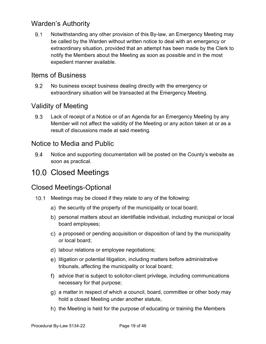#### <span id="page-18-0"></span>Warden's Authority

 $9.1$ Notwithstanding any other provision of this By-law, an Emergency Meeting may be called by the Warden without written notice to deal with an emergency or extraordinary situation, provided that an attempt has been made by the Clerk to notify the Members about the Meeting as soon as possible and in the most expedient manner available.

#### <span id="page-18-1"></span>Items of Business

 $9.2$ No business except business dealing directly with the emergency or extraordinary situation will be transacted at the Emergency Meeting.

#### <span id="page-18-2"></span>Validity of Meeting

9.3 Lack of receipt of a Notice or of an Agenda for an Emergency Meeting by any Member will not affect the validity of the Meeting or any action taken at or as a result of discussions made at said meeting.

#### <span id="page-18-3"></span>Notice to Media and Public

Notice and supporting documentation will be posted on the County's website as 9.4 soon as practical.

### <span id="page-18-4"></span>10.0 Closed Meetings

#### <span id="page-18-5"></span>Closed Meetings-Optional

- 10.1 Meetings may be closed if they relate to any of the following:
	- a) the security of the property of the municipality or local board;
	- b) personal matters about an identifiable individual, including municipal or local board employees;
	- a proposed or pending acquisition or disposition of land by the municipality or local board;
	- d) labour relations or employee negotiations;
	- e) litigation or potential litigation, including matters before administrative tribunals, affecting the municipality or local board;
	- advice that is subject to solicitor-client privilege, including communications necessary for that purpose;
	- g) a matter in respect of which a council, board, committee or other body may hold a closed Meeting under another statute,
	- h) the Meeting is held for the purpose of educating or training the Members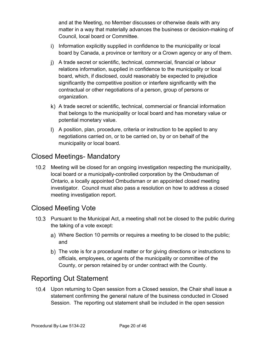and at the Meeting, no Member discusses or otherwise deals with any matter in a way that materially advances the business or decision-making of Council, local board or Committee.

- i) Information explicitly supplied in confidence to the municipality or local board by Canada, a province or territory or a Crown agency or any of them.
- A trade secret or scientific, technical, commercial, financial or labour relations information, supplied in confidence to the municipality or local board, which, if disclosed, could reasonably be expected to prejudice significantly the competitive position or interfere significantly with the contractual or other negotiations of a person, group of persons or organization.
- A trade secret or scientific, technical, commercial or financial information that belongs to the municipality or local board and has monetary value or potential monetary value.
- A position, plan, procedure, criteria or instruction to be applied to any negotiations carried on, or to be carried on, by or on behalf of the municipality or local board.

#### <span id="page-19-0"></span>Closed Meetings- Mandatory

10.2 Meeting will be closed for an ongoing investigation respecting the municipality, local board or a municipally-controlled corporation by the Ombudsman of Ontario, a locally appointed Ombudsman or an appointed closed meeting investigator. Council must also pass a resolution on how to address a closed meeting investigation report.

#### <span id="page-19-1"></span>Closed Meeting Vote

- 10.3 Pursuant to the Municipal Act, a meeting shall not be closed to the public during the taking of a vote except:
	- Where Section 10 permits or requires a meeting to be closed to the public; and
	- b) The vote is for a procedural matter or for giving directions or instructions to officials, employees, or agents of the municipality or committee of the County, or person retained by or under contract with the County.

#### <span id="page-19-2"></span>Reporting Out Statement

Upon returning to Open session from a Closed session, the Chair shall issue a statement confirming the general nature of the business conducted in Closed Session. The reporting out statement shall be included in the open session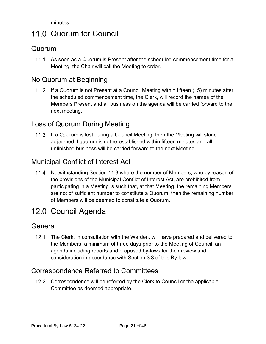minutes.

## <span id="page-20-0"></span>11.0 Quorum for Council

#### <span id="page-20-1"></span>Quorum

11.1 As soon as a Quorum is Present after the scheduled commencement time for a Meeting, the Chair will call the Meeting to order.

#### <span id="page-20-2"></span>No Quorum at Beginning

If a Quorum is not Present at a Council Meeting within fifteen (15) minutes after the scheduled commencement time, the Clerk, will record the names of the Members Present and all business on the agenda will be carried forward to the next meeting.

#### <span id="page-20-3"></span>Loss of Quorum During Meeting

If a Quorum is lost during a Council Meeting, then the Meeting will stand adjourned if quorum is not re-established within fifteen minutes and all unfinished business will be carried forward to the next Meeting.

#### <span id="page-20-4"></span>Municipal Conflict of Interest Act

11.4 Notwithstanding Section 11.3 where the number of Members, who by reason of the provisions of the Municipal Conflict of Interest Act, are prohibited from participating in a Meeting is such that, at that Meeting, the remaining Members are not of sufficient number to constitute a Quorum, then the remaining number of Members will be deemed to constitute a Quorum.

### <span id="page-20-5"></span>12.0 Council Agenda

#### <span id="page-20-6"></span>General

12.1 The Clerk, in consultation with the Warden, will have prepared and delivered to the Members, a minimum of three days prior to the Meeting of Council, an agenda including reports and proposed by-laws for their review and consideration in accordance with Section 3.3 of this By-law.

#### <span id="page-20-7"></span>Correspondence Referred to Committees

12.2 Correspondence will be referred by the Clerk to Council or the applicable Committee as deemed appropriate.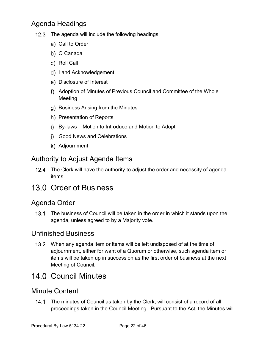### <span id="page-21-0"></span>Agenda Headings

- 12.3 The agenda will include the following headings:
	- a) Call to Order
	- b) O Canada
	- c) Roll Call
	- Land Acknowledgement
	- Disclosure of Interest
	- Adoption of Minutes of Previous Council and Committee of the Whole Meeting
	- g) Business Arising from the Minutes
	- h) Presentation of Reports
	- i) By-laws Motion to Introduce and Motion to Adopt
	- Good News and Celebrations
	- k) Adjournment

#### <span id="page-21-1"></span>Authority to Adjust Agenda Items

12.4 The Clerk will have the authority to adjust the order and necessity of agenda items.

### <span id="page-21-2"></span>13.0 Order of Business

#### <span id="page-21-3"></span>Agenda Order

13.1 The business of Council will be taken in the order in which it stands upon the agenda, unless agreed to by a Majority vote.

#### <span id="page-21-4"></span>Unfinished Business

When any agenda item or items will be left undisposed of at the time of adjournment, either for want of a Quorum or otherwise, such agenda item or items will be taken up in succession as the first order of business at the next Meeting of Council.

### <span id="page-21-5"></span>14.0 Council Minutes

#### <span id="page-21-6"></span>Minute Content

The minutes of Council as taken by the Clerk, will consist of a record of all proceedings taken in the Council Meeting. Pursuant to the Act, the Minutes will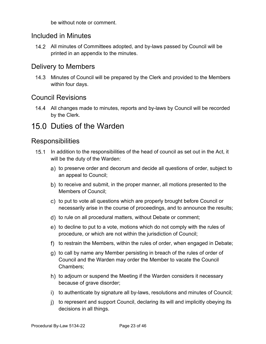be without note or comment.

#### <span id="page-22-0"></span>Included in Minutes

14.2 All minutes of Committees adopted, and by-laws passed by Council will be printed in an appendix to the minutes.

#### <span id="page-22-1"></span>Delivery to Members

14.3 Minutes of Council will be prepared by the Clerk and provided to the Members within four days.

#### <span id="page-22-2"></span>Council Revisions

14.4 All changes made to minutes, reports and by-laws by Council will be recorded by the Clerk.

### <span id="page-22-3"></span>15.0 Duties of the Warden

#### <span id="page-22-4"></span>**Responsibilities**

- 15.1 In addition to the responsibilities of the head of council as set out in the Act, it will be the duty of the Warden:
	- a) to preserve order and decorum and decide all questions of order, subject to an appeal to Council;
	- b) to receive and submit, in the proper manner, all motions presented to the Members of Council;
	- c) to put to vote all questions which are properly brought before Council or necessarily arise in the course of proceedings, and to announce the results;
	- d) to rule on all procedural matters, without Debate or comment;
	- e) to decline to put to a vote, motions which do not comply with the rules of procedure, or which are not within the jurisdiction of Council;
	- f) to restrain the Members, within the rules of order, when engaged in Debate;
	- g) to call by name any Member persisting in breach of the rules of order of Council and the Warden may order the Member to vacate the Council Chambers;
	- h) to adjourn or suspend the Meeting if the Warden considers it necessary because of grave disorder;
	- i) to authenticate by signature all by-laws, resolutions and minutes of Council;
	- j) to represent and support Council, declaring its will and implicitly obeying its decisions in all things.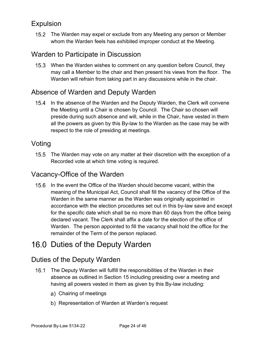#### <span id="page-23-0"></span>Expulsion

15.2 The Warden may expel or exclude from any Meeting any person or Member whom the Warden feels has exhibited improper conduct at the Meeting.

#### <span id="page-23-1"></span>Warden to Participate in Discussion

15.3 When the Warden wishes to comment on any question before Council, they may call a Member to the chair and then present his views from the floor. The Warden will refrain from taking part in any discussions while in the chair.

### <span id="page-23-2"></span>Absence of Warden and Deputy Warden

15.4 In the absence of the Warden and the Deputy Warden, the Clerk will convene the Meeting until a Chair is chosen by Council. The Chair so chosen will preside during such absence and will, while in the Chair, have vested in them all the powers as given by this By-law to the Warden as the case may be with respect to the role of presiding at meetings.

#### <span id="page-23-3"></span>Voting

15.5 The Warden may vote on any matter at their discretion with the exception of a Recorded vote at which time voting is required.

#### <span id="page-23-4"></span>Vacancy-Office of the Warden

15.6 In the event the Office of the Warden should become vacant, within the meaning of the Municipal Act, Council shall fill the vacancy of the Office of the Warden in the same manner as the Warden was originally appointed in accordance with the election procedures set out in this by-law save and except for the specific date which shall be no more than 60 days from the office being declared vacant. The Clerk shall affix a date for the election of the office of Warden. The person appointed to fill the vacancy shall hold the office for the remainder of the Term of the person replaced.

### <span id="page-23-5"></span>16.0 Duties of the Deputy Warden

#### <span id="page-23-6"></span>Duties of the Deputy Warden

- 16.1 The Deputy Warden will fulfill the responsibilities of the Warden in their absence as outlined in Section 15 including presiding over a meeting and having all powers vested in them as given by this By-law including:
	- Chairing of meetings
	- b) Representation of Warden at Warden's request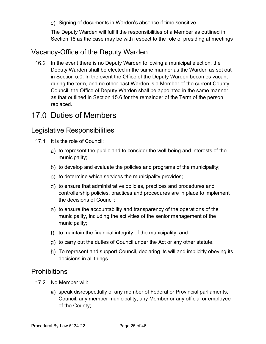c) Signing of documents in Warden's absence if time sensitive.

The Deputy Warden will fulfill the responsibilities of a Member as outlined in Section 16 as the case may be with respect to the role of presiding at meetings

#### <span id="page-24-0"></span>Vacancy-Office of the Deputy Warden

16.2 In the event there is no Deputy Warden following a municipal election, the Deputy Warden shall be elected in the same manner as the Warden as set out in Section 5.0. In the event the Office of the Deputy Warden becomes vacant during the term, and no other past Warden is a Member of the current County Council, the Office of Deputy Warden shall be appointed in the same manner as that outlined in Section 15.6 for the remainder of the Term of the person replaced.

### <span id="page-24-1"></span>17.0 Duties of Members

#### <span id="page-24-2"></span>Legislative Responsibilities

- 17.1 It is the role of Council:
	- a) to represent the public and to consider the well-being and interests of the municipality;
	- b) to develop and evaluate the policies and programs of the municipality;
	- c) to determine which services the municipality provides;
	- d) to ensure that administrative policies, practices and procedures and controllership policies, practices and procedures are in place to implement the decisions of Council;
	- e) to ensure the accountability and transparency of the operations of the municipality, including the activities of the senior management of the municipality;
	- f) to maintain the financial integrity of the municipality; and
	- g) to carry out the duties of Council under the Act or any other statute.
	- h) To represent and support Council, declaring its will and implicitly obeying its decisions in all things.

#### <span id="page-24-3"></span>**Prohibitions**

- 17.2 No Member will:
	- a) speak disrespectfully of any member of Federal or Provincial parliaments, Council, any member municipality, any Member or any official or employee of the County;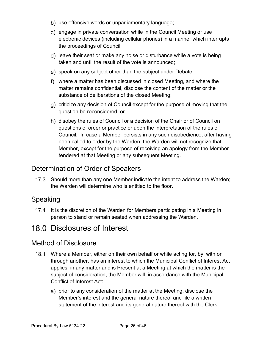- b) use offensive words or unparliamentary language;
- c) engage in private conversation while in the Council Meeting or use electronic devices (including cellular phones) in a manner which interrupts the proceedings of Council;
- d) leave their seat or make any noise or disturbance while a vote is being taken and until the result of the vote is announced;
- e) speak on any subject other than the subject under Debate;
- where a matter has been discussed in closed Meeting, and where the matter remains confidential, disclose the content of the matter or the substance of deliberations of the closed Meeting;
- g) criticize any decision of Council except for the purpose of moving that the question be reconsidered; or
- h) disobey the rules of Council or a decision of the Chair or of Council on questions of order or practice or upon the interpretation of the rules of Council. In case a Member persists in any such disobedience, after having been called to order by the Warden, the Warden will not recognize that Member, except for the purpose of receiving an apology from the Member tendered at that Meeting or any subsequent Meeting.

#### <span id="page-25-0"></span>Determination of Order of Speakers

17.3 Should more than any one Member indicate the intent to address the Warden; the Warden will determine who is entitled to the floor.

#### <span id="page-25-1"></span>Speaking

17.4 It is the discretion of the Warden for Members participating in a Meeting in person to stand or remain seated when addressing the Warden.

### <span id="page-25-2"></span>18.0 Disclosures of Interest

#### <span id="page-25-3"></span>Method of Disclosure

- Where a Member, either on their own behalf or while acting for, by, with or through another, has an interest to which the Municipal Conflict of Interest Act applies, in any matter and is Present at a Meeting at which the matter is the subject of consideration, the Member will, in accordance with the Municipal Conflict of Interest Act:
	- a) prior to any consideration of the matter at the Meeting, disclose the Member's interest and the general nature thereof and file a written statement of the interest and its general nature thereof with the Clerk;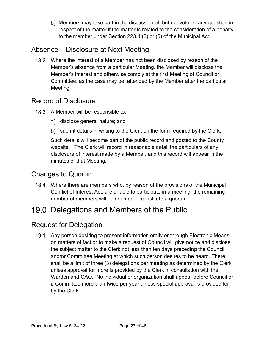b) Members may take part in the discussion of, but not vote on any question in respect of the matter if the matter is related to the consideration of a penalty to the member under Section 223.4 (5) or (6) of the Municipal Act.

#### <span id="page-26-0"></span>Absence – Disclosure at Next Meeting

18.2 Where the interest of a Member has not been disclosed by reason of the Member's absence from a particular Meeting, the Member will disclose the Member's interest and otherwise comply at the first Meeting of Council or Committee, as the case may be, attended by the Member after the particular Meeting.

#### <span id="page-26-1"></span>Record of Disclosure

- 18.3 A Member will be responsible to:
	- a) disclose general nature; and
	- b) submit details in writing to the Clerk on the form required by the Clerk.

Such details will become part of the public record and posted to the County website. The Clerk will record in reasonable detail the particulars of any disclosure of interest made by a Member, and this record will appear in the minutes of that Meeting.

#### <span id="page-26-2"></span>Changes to Quorum

Where there are members who, by reason of the provisions of the Municipal Conflict of Interest Act, are unable to participate in a meeting, the remaining number of members will be deemed to constitute a quorum.

### <span id="page-26-3"></span>19.0 Delegations and Members of the Public

#### <span id="page-26-4"></span>Request for Delegation

19.1 Any person desiring to present information orally or through Electronic Means on matters of fact or to make a request of Council will give notice and disclose the subject matter to the Clerk not less than ten days preceding the Council and/or Committee Meeting at which such person desires to be heard. There shall be a limit of three (3) delegations per meeting as determined by the Clerk unless approval for more is provided by the Clerk in consultation with the Warden and CAO. No individual or organization shall appear before Council or a Committee more than twice per year unless special approval is provided for by the Clerk.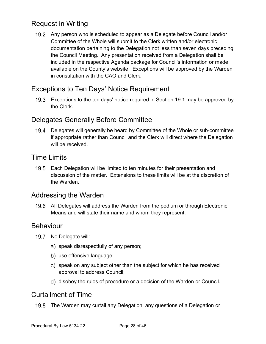### <span id="page-27-0"></span>Request in Writing

Any person who is scheduled to appear as a Delegate before Council and/or Committee of the Whole will submit to the Clerk written and/or electronic documentation pertaining to the Delegation not less than seven days preceding the Council Meeting. Any presentation received from a Delegation shall be included in the respective Agenda package for Council's information or made available on the County's website. Exceptions will be approved by the Warden in consultation with the CAO and Clerk.

#### <span id="page-27-1"></span>Exceptions to Ten Days' Notice Requirement

Exceptions to the ten days' notice required in Section 19.1 may be approved by the Clerk.

#### <span id="page-27-2"></span>Delegates Generally Before Committee

Delegates will generally be heard by Committee of the Whole or sub-committee if appropriate rather than Council and the Clerk will direct where the Delegation will be received.

#### <span id="page-27-3"></span>Time Limits

19.5 Each Delegation will be limited to ten minutes for their presentation and discussion of the matter. Extensions to these limits will be at the discretion of the Warden.

#### <span id="page-27-4"></span>Addressing the Warden

19.6 All Delegates will address the Warden from the podium or through Electronic Means and will state their name and whom they represent.

#### <span id="page-27-5"></span>Behaviour

- 19.7 No Delegate will:
	- a) speak disrespectfully of any person;
	- b) use offensive language;
	- c) speak on any subject other than the subject for which he has received approval to address Council;
	- d) disobey the rules of procedure or a decision of the Warden or Council.

#### <span id="page-27-6"></span>Curtailment of Time

19.8 The Warden may curtail any Delegation, any questions of a Delegation or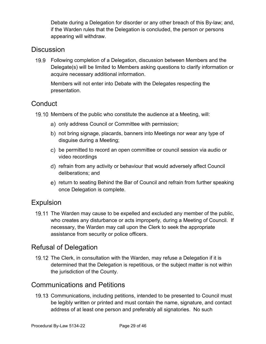Debate during a Delegation for disorder or any other breach of this By-law; and, if the Warden rules that the Delegation is concluded, the person or persons appearing will withdraw.

#### <span id="page-28-0"></span>**Discussion**

Following completion of a Delegation, discussion between Members and the Delegate(s) will be limited to Members asking questions to clarify information or acquire necessary additional information.

Members will not enter into Debate with the Delegates respecting the presentation.

#### <span id="page-28-1"></span>**Conduct**

19.10 Members of the public who constitute the audience at a Meeting, will:

- a) only address Council or Committee with permission;
- b) not bring signage, placards, banners into Meetings nor wear any type of disguise during a Meeting;
- be permitted to record an open committee or council session via audio or video recordings
- refrain from any activity or behaviour that would adversely affect Council deliberations; and
- e) return to seating Behind the Bar of Council and refrain from further speaking once Delegation is complete.

#### <span id="page-28-2"></span>Expulsion

19.11 The Warden may cause to be expelled and excluded any member of the public, who creates any disturbance or acts improperly, during a Meeting of Council. If necessary, the Warden may call upon the Clerk to seek the appropriate assistance from security or police officers.

### <span id="page-28-3"></span>Refusal of Delegation

19.12 The Clerk, in consultation with the Warden, may refuse a Delegation if it is determined that the Delegation is repetitious, or the subject matter is not within the jurisdiction of the County.

#### <span id="page-28-4"></span>Communications and Petitions

19.13 Communications, including petitions, intended to be presented to Council must be legibly written or printed and must contain the name, signature, and contact address of at least one person and preferably all signatories. No such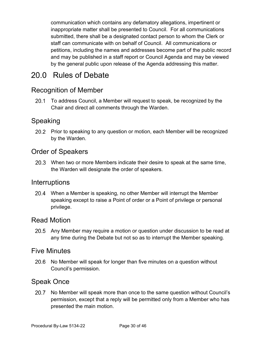communication which contains any defamatory allegations, impertinent or inappropriate matter shall be presented to Council. For all communications submitted, there shall be a designated contact person to whom the Clerk or staff can communicate with on behalf of Council. All communications or petitions, including the names and addresses become part of the public record and may be published in a staff report or Council Agenda and may be viewed by the general public upon release of the Agenda addressing this matter.

## <span id="page-29-0"></span>20.0 Rules of Debate

#### <span id="page-29-1"></span>Recognition of Member

20.1 To address Council, a Member will request to speak, be recognized by the Chair and direct all comments through the Warden.

#### <span id="page-29-2"></span>Speaking

20.2 Prior to speaking to any question or motion, each Member will be recognized by the Warden.

#### <span id="page-29-3"></span>Order of Speakers

When two or more Members indicate their desire to speak at the same time, the Warden will designate the order of speakers.

#### <span id="page-29-4"></span>**Interruptions**

When a Member is speaking, no other Member will interrupt the Member speaking except to raise a Point of order or a Point of privilege or personal privilege.

#### <span id="page-29-5"></span>Read Motion

20.5 Any Member may require a motion or question under discussion to be read at any time during the Debate but not so as to interrupt the Member speaking.

#### <span id="page-29-6"></span>Five Minutes

20.6 No Member will speak for longer than five minutes on a question without Council's permission.

#### <span id="page-29-7"></span>Speak Once

20.7 No Member will speak more than once to the same question without Council's permission, except that a reply will be permitted only from a Member who has presented the main motion.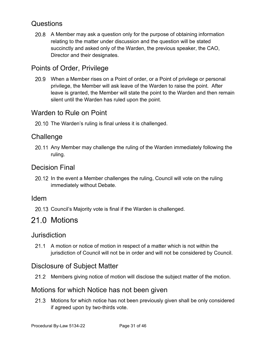#### <span id="page-30-0"></span>**Questions**

A Member may ask a question only for the purpose of obtaining information relating to the matter under discussion and the question will be stated succinctly and asked only of the Warden, the previous speaker, the CAO, Director and their designates.

#### <span id="page-30-1"></span>Points of Order, Privilege

When a Member rises on a Point of order, or a Point of privilege or personal privilege, the Member will ask leave of the Warden to raise the point. After leave is granted, the Member will state the point to the Warden and then remain silent until the Warden has ruled upon the point.

#### <span id="page-30-2"></span>Warden to Rule on Point

20.10 The Warden's ruling is final unless it is challenged.

#### <span id="page-30-3"></span>**Challenge**

20.11 Any Member may challenge the ruling of the Warden immediately following the ruling.

#### <span id="page-30-4"></span>Decision Final

20.12 In the event a Member challenges the ruling, Council will vote on the ruling immediately without Debate.

#### <span id="page-30-5"></span>Idem

20.13 Council's Majority vote is final if the Warden is challenged.

### <span id="page-30-6"></span>21.0 Motions

#### <span id="page-30-7"></span>**Jurisdiction**

21.1 A motion or notice of motion in respect of a matter which is not within the jurisdiction of Council will not be in order and will not be considered by Council.

#### <span id="page-30-8"></span>Disclosure of Subject Matter

21.2 Members giving notice of motion will disclose the subject matter of the motion.

#### <span id="page-30-9"></span>Motions for which Notice has not been given

21.3 Motions for which notice has not been previously given shall be only considered if agreed upon by two-thirds vote.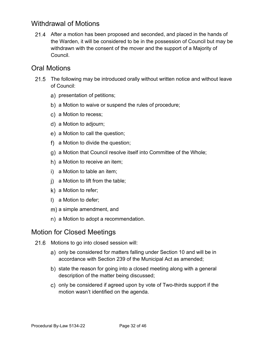#### <span id="page-31-0"></span>Withdrawal of Motions

21.4 After a motion has been proposed and seconded, and placed in the hands of the Warden, it will be considered to be in the possession of Council but may be withdrawn with the consent of the mover and the support of a Majority of Council.

#### <span id="page-31-1"></span>Oral Motions

- 21.5 The following may be introduced orally without written notice and without leave of Council:
	- a) presentation of petitions;
	- b) a Motion to waive or suspend the rules of procedure;
	- c) a Motion to recess;
	- a Motion to adjourn;
	- e) a Motion to call the question;
	- a Motion to divide the question;
	- a Motion that Council resolve itself into Committee of the Whole;
	- h) a Motion to receive an item;
	- i) a Motion to table an item;
	- j) a Motion to lift from the table;
	- k) a Motion to refer;
	- I) a Motion to defer;
	- m) a simple amendment, and
	- n) a Motion to adopt a recommendation.

#### <span id="page-31-2"></span>Motion for Closed Meetings

- 21.6 Motions to go into closed session will:
	- a) only be considered for matters falling under Section 10 and will be in accordance with Section 239 of the Municipal Act as amended;
	- b) state the reason for going into a closed meeting along with a general description of the matter being discussed;
	- c) only be considered if agreed upon by vote of Two-thirds support if the motion wasn't identified on the agenda.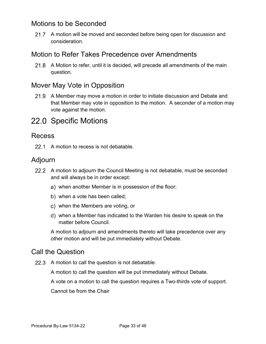#### <span id="page-32-0"></span>Motions to be Seconded

21.7 A motion will be moved and seconded before being open for discussion and consideration.

#### <span id="page-32-1"></span>Motion to Refer Takes Precedence over Amendments

21.8 A Motion to refer, until it is decided, will precede all amendments of the main question.

#### <span id="page-32-2"></span>Mover May Vote in Opposition

21.9 A Member may move a motion in order to initiate discussion and Debate and that Member may vote in opposition to the motion. A seconder of a motion may vote against the motion.

### <span id="page-32-3"></span>22.0 Specific Motions

#### <span id="page-32-4"></span>Recess

22.1 A motion to recess is not debatable.

#### <span id="page-32-5"></span>Adjourn

- 22.2 A motion to adjourn the Council Meeting is not debatable, must be seconded and will always be in order except:
	- when another Member is in possession of the floor;
	- b) when a vote has been called;
	- when the Members are voting, or
	- when a Member has indicated to the Warden his desire to speak on the matter before Council.

A motion to adjourn and amendments thereto will take precedence over any other motion and will be put immediately without Debate.

#### <span id="page-32-6"></span>Call the Question

22.3 A motion to call the question is not debatable.

A motion to call the question will be put immediately without Debate.

A vote on a motion to call the question requires a Two-thirds vote of support.

Cannot be from the Chair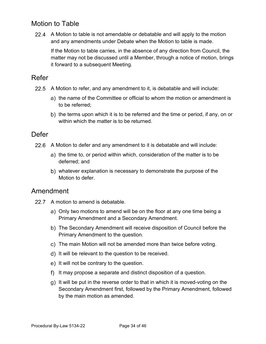#### <span id="page-33-0"></span>Motion to Table

A Motion to table is not amendable or debatable and will apply to the motion and any amendments under Debate when the Motion to table is made.

If the Motion to table carries, in the absence of any direction from Council, the matter may not be discussed until a Member, through a notice of motion, brings it forward to a subsequent Meeting.

#### <span id="page-33-1"></span>Refer

- 22.5 A Motion to refer, and any amendment to it, is debatable and will include:
	- a) the name of the Committee or official to whom the motion or amendment is to be referred;
	- b) the terms upon which it is to be referred and the time or period, if any, on or within which the matter is to be returned.

#### <span id="page-33-2"></span>**Defer**

- 22.6 A Motion to defer and any amendment to it is debatable and will include:
	- a) the time to, or period within which, consideration of the matter is to be deferred; and
	- whatever explanation is necessary to demonstrate the purpose of the Motion to defer.

#### <span id="page-33-3"></span>Amendment

- 22.7 A motion to amend is debatable.
	- a) Only two motions to amend will be on the floor at any one time being a Primary Amendment and a Secondary Amendment.
	- The Secondary Amendment will receive disposition of Council before the Primary Amendment to the question.
	- c) The main Motion will not be amended more than twice before voting.
	- d) It will be relevant to the question to be received.
	- e) It will not be contrary to the question.
	- f) It may propose a separate and distinct disposition of a question.
	- $g$ ) It will be put in the reverse order to that in which it is moved-voting on the Secondary Amendment first, followed by the Primary Amendment, followed by the main motion as amended.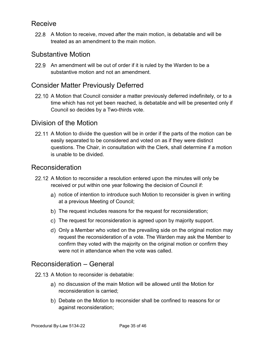#### <span id="page-34-0"></span>Receive

A Motion to receive, moved after the main motion, is debatable and will be treated as an amendment to the main motion.

#### <span id="page-34-1"></span>Substantive Motion

22.9 An amendment will be out of order if it is ruled by the Warden to be a substantive motion and not an amendment.

#### <span id="page-34-2"></span>Consider Matter Previously Deferred

22.10 A Motion that Council consider a matter previously deferred indefinitely, or to a time which has not yet been reached, is debatable and will be presented only if Council so decides by a Two-thirds vote.

#### <span id="page-34-3"></span>Division of the Motion

22.11 A Motion to divide the question will be in order if the parts of the motion can be easily separated to be considered and voted on as if they were distinct questions. The Chair, in consultation with the Clerk, shall determine if a motion is unable to be divided.

#### <span id="page-34-4"></span>Reconsideration

- 22.12 A Motion to reconsider a resolution entered upon the minutes will only be received or put within one year following the decision of Council if:
	- notice of intention to introduce such Motion to reconsider is given in writing at a previous Meeting of Council;
	- b) The request includes reasons for the request for reconsideration;
	- The request for reconsideration is agreed upon by majority support.
	- Only a Member who voted on the prevailing side on the original motion may request the reconsideration of a vote. The Warden may ask the Member to confirm they voted with the majority on the original motion or confirm they were not in attendance when the vote was called.

#### <span id="page-34-5"></span>Reconsideration – General

- 22.13 A Motion to reconsider is debatable:
	- no discussion of the main Motion will be allowed until the Motion for reconsideration is carried;
	- Debate on the Motion to reconsider shall be confined to reasons for or against reconsideration;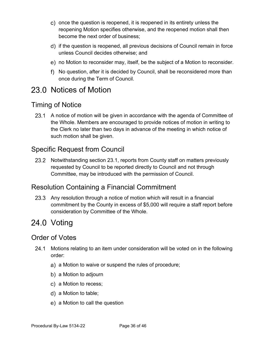- c) once the question is reopened, it is reopened in its entirety unless the reopening Motion specifies otherwise, and the reopened motion shall then become the next order of business;
- if the question is reopened, all previous decisions of Council remain in force unless Council decides otherwise; and
- no Motion to reconsider may, itself, be the subject of a Motion to reconsider.
- No question, after it is decided by Council, shall be reconsidered more than once during the Term of Council.

## <span id="page-35-0"></span>23.0 Notices of Motion

#### <span id="page-35-1"></span>Timing of Notice

23.1 A notice of motion will be given in accordance with the agenda of Committee of the Whole. Members are encouraged to provide notices of motion in writing to the Clerk no later than two days in advance of the meeting in which notice of such motion shall be given.

#### <span id="page-35-2"></span>Specific Request from Council

23.2 Notwithstanding section 23.1, reports from County staff on matters previously requested by Council to be reported directly to Council and not through Committee, may be introduced with the permission of Council.

#### <span id="page-35-3"></span>Resolution Containing a Financial Commitment

23.3 Any resolution through a notice of motion which will result in a financial commitment by the County in excess of \$5,000 will require a staff report before consideration by Committee of the Whole.

### <span id="page-35-4"></span>24.0 Voting

#### <span id="page-35-5"></span>Order of Votes

- 24.1 Motions relating to an item under consideration will be voted on in the following order:
	- a) a Motion to waive or suspend the rules of procedure;
	- b) a Motion to adjourn
	- c) a Motion to recess;
	- a Motion to table;
	- e) a Motion to call the question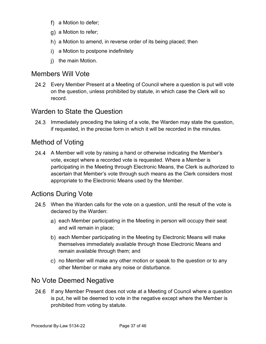- f) a Motion to defer;
- q) a Motion to refer;
- h) a Motion to amend, in reverse order of its being placed; then
- i) a Motion to postpone indefinitely
- i) the main Motion.

#### <span id="page-36-0"></span>Members Will Vote

Every Member Present at a Meeting of Council where a question is put will vote on the question, unless prohibited by statute, in which case the Clerk will so record.

#### <span id="page-36-1"></span>Warden to State the Question

24.3 Immediately preceding the taking of a vote, the Warden may state the question, if requested, in the precise form in which it will be recorded in the minutes.

### <span id="page-36-2"></span>Method of Voting

24.4 A Member will vote by raising a hand or otherwise indicating the Member's vote, except where a recorded vote is requested. Where a Member is participating in the Meeting through Electronic Means, the Clerk is authorized to ascertain that Member's vote through such means as the Clerk considers most appropriate to the Electronic Means used by the Member.

#### <span id="page-36-3"></span>Actions During Vote

- 24.5 When the Warden calls for the vote on a question, until the result of the vote is declared by the Warden:
	- a) each Member participating in the Meeting in person will occupy their seat and will remain in place;
	- b) each Member participating in the Meeting by Electronic Means will make themselves immediately available through those Electronic Means and remain available through them; and
	- no Member will make any other motion or speak to the question or to any other Member or make any noise or disturbance.

#### <span id="page-36-4"></span>No Vote Deemed Negative

24.6 If any Member Present does not vote at a Meeting of Council where a question is put, he will be deemed to vote in the negative except where the Member is prohibited from voting by statute.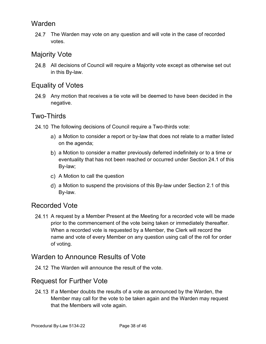#### <span id="page-37-0"></span>Warden

24.7 The Warden may vote on any question and will vote in the case of recorded votes.

#### <span id="page-37-1"></span>Majority Vote

24.8 All decisions of Council will require a Majority vote except as otherwise set out in this By-law.

#### <span id="page-37-2"></span>Equality of Votes

24.9 Any motion that receives a tie vote will be deemed to have been decided in the negative.

#### <span id="page-37-3"></span>Two-Thirds

- 24.10 The following decisions of Council require a Two-thirds vote:
	- a) a Motion to consider a report or by-law that does not relate to a matter listed on the agenda;
	- a Motion to consider a matter previously deferred indefinitely or to a time or eventuality that has not been reached or occurred under Section 24.1 of this By-law;
	- c) A Motion to call the question
	- a Motion to suspend the provisions of this By-law under Section 2.1 of this By-law.

#### <span id="page-37-4"></span>Recorded Vote

24.11 A request by a Member Present at the Meeting for a recorded vote will be made prior to the commencement of the vote being taken or immediately thereafter. When a recorded vote is requested by a Member, the Clerk will record the name and vote of every Member on any question using call of the roll for order of voting.

#### <span id="page-37-5"></span>Warden to Announce Results of Vote

24.12 The Warden will announce the result of the vote.

#### <span id="page-37-6"></span>Request for Further Vote

24.13 If a Member doubts the results of a vote as announced by the Warden, the Member may call for the vote to be taken again and the Warden may request that the Members will vote again.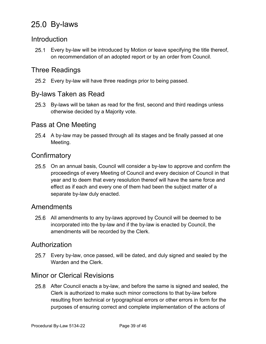## <span id="page-38-0"></span>25.0 By-laws

#### <span id="page-38-1"></span>**Introduction**

Every by-law will be introduced by Motion or leave specifying the title thereof, on recommendation of an adopted report or by an order from Council.

#### <span id="page-38-2"></span>Three Readings

25.2 Every by-law will have three readings prior to being passed.

#### <span id="page-38-3"></span>By-laws Taken as Read

25.3 By-laws will be taken as read for the first, second and third readings unless otherwise decided by a Majority vote.

#### <span id="page-38-4"></span>Pass at One Meeting

25.4 A by-law may be passed through all its stages and be finally passed at one Meeting.

#### <span id="page-38-5"></span>**Confirmatory**

25.5 On an annual basis, Council will consider a by-law to approve and confirm the proceedings of every Meeting of Council and every decision of Council in that year and to deem that every resolution thereof will have the same force and effect as if each and every one of them had been the subject matter of a separate by-law duly enacted.

#### <span id="page-38-6"></span>Amendments

25.6 All amendments to any by-laws approved by Council will be deemed to be incorporated into the by-law and if the by-law is enacted by Council, the amendments will be recorded by the Clerk.

#### <span id="page-38-7"></span>Authorization

Every by-law, once passed, will be dated, and duly signed and sealed by the Warden and the Clerk.

#### <span id="page-38-8"></span>Minor or Clerical Revisions

After Council enacts a by-law, and before the same is signed and sealed, the Clerk is authorized to make such minor corrections to that by-law before resulting from technical or typographical errors or other errors in form for the purposes of ensuring correct and complete implementation of the actions of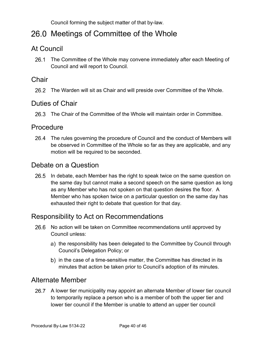Council forming the subject matter of that by-law.

## <span id="page-39-0"></span>26.0 Meetings of Committee of the Whole

#### <span id="page-39-1"></span>At Council

26.1 The Committee of the Whole may convene immediately after each Meeting of Council and will report to Council.

#### <span id="page-39-2"></span>Chair

26.2 The Warden will sit as Chair and will preside over Committee of the Whole.

#### <span id="page-39-3"></span>Duties of Chair

The Chair of the Committee of the Whole will maintain order in Committee.

#### <span id="page-39-4"></span>**Procedure**

The rules governing the procedure of Council and the conduct of Members will be observed in Committee of the Whole so far as they are applicable, and any motion will be required to be seconded.

#### <span id="page-39-5"></span>Debate on a Question

26.5 In debate, each Member has the right to speak twice on the same question on the same day but cannot make a second speech on the same question as long as any Member who has not spoken on that question desires the floor. A Member who has spoken twice on a particular question on the same day has exhausted their right to debate that question for that day.

#### <span id="page-39-6"></span>Responsibility to Act on Recommendations

- 26.6 No action will be taken on Committee recommendations until approved by Council unless:
	- a) the responsibility has been delegated to the Committee by Council through Council's Delegation Policy; or
	- b) in the case of a time-sensitive matter, the Committee has directed in its minutes that action be taken prior to Council's adoption of its minutes.

#### <span id="page-39-7"></span>Alternate Member

A lower tier municipality may appoint an alternate Member of lower tier council to temporarily replace a person who is a member of both the upper tier and lower tier council if the Member is unable to attend an upper tier council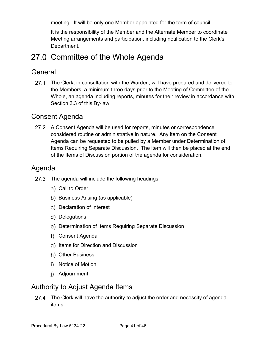meeting. It will be only one Member appointed for the term of council.

It is the responsibility of the Member and the Alternate Member to coordinate Meeting arrangements and participation, including notification to the Clerk's Department.

### <span id="page-40-0"></span>27.0 Committee of the Whole Agenda

#### <span id="page-40-1"></span>**General**

27.1 The Clerk, in consultation with the Warden, will have prepared and delivered to the Members, a minimum three days prior to the Meeting of Committee of the Whole, an agenda including reports, minutes for their review in accordance with Section 3.3 of this By-law.

#### <span id="page-40-2"></span>Consent Agenda

27.2 A Consent Agenda will be used for reports, minutes or correspondence considered routine or administrative in nature. Any item on the Consent Agenda can be requested to be pulled by a Member under Determination of Items Requiring Separate Discussion. The item will then be placed at the end of the Items of Discussion portion of the agenda for consideration.

#### <span id="page-40-3"></span>Agenda

- 27.3 The agenda will include the following headings:
	- a) Call to Order
	- b) Business Arising (as applicable)
	- c) Declaration of Interest
	- d) Delegations
	- Determination of Items Requiring Separate Discussion
	- Consent Agenda
	- g) Items for Direction and Discussion
	- h) Other Business
	- i) Notice of Motion
	- Adjournment

#### <span id="page-40-4"></span>Authority to Adjust Agenda Items

27.4 The Clerk will have the authority to adjust the order and necessity of agenda items.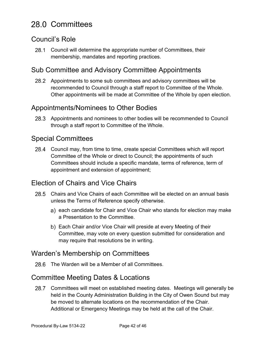## <span id="page-41-0"></span>28.0 Committees

#### <span id="page-41-1"></span>Council's Role

28.1 Council will determine the appropriate number of Committees, their membership, mandates and reporting practices.

#### <span id="page-41-2"></span>Sub Committee and Advisory Committee Appointments

28.2 Appointments to some sub committees and advisory committees will be recommended to Council through a staff report to Committee of the Whole. Other appointments will be made at Committee of the Whole by open election.

#### <span id="page-41-3"></span>Appointments/Nominees to Other Bodies

Appointments and nominees to other bodies will be recommended to Council through a staff report to Committee of the Whole.

#### <span id="page-41-4"></span>Special Committees

Council may, from time to time, create special Committees which will report Committee of the Whole or direct to Council; the appointments of such Committees should include a specific mandate, terms of reference, term of appointment and extension of appointment;

#### <span id="page-41-5"></span>Election of Chairs and Vice Chairs

- Chairs and Vice Chairs of each Committee will be elected on an annual basis unless the Terms of Reference specify otherwise.
	- a) each candidate for Chair and Vice Chair who stands for election may make a Presentation to the Committee.
	- b) Each Chair and/or Vice Chair will preside at every Meeting of their Committee, may vote on every question submitted for consideration and may require that resolutions be in writing.

#### <span id="page-41-6"></span>Warden's Membership on Committees

28.6 The Warden will be a Member of all Committees.

#### <span id="page-41-7"></span>Committee Meeting Dates & Locations

28.7 Committees will meet on established meeting dates. Meetings will generally be held in the County Administration Building in the City of Owen Sound but may be moved to alternate locations on the recommendation of the Chair. Additional or Emergency Meetings may be held at the call of the Chair.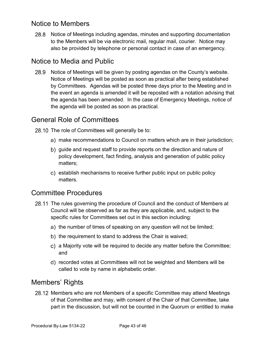#### <span id="page-42-0"></span>Notice to Members

28.8 Notice of Meetings including agendas, minutes and supporting documentation to the Members will be via electronic mail, regular mail, courier. Notice may also be provided by telephone or personal contact in case of an emergency.

#### <span id="page-42-1"></span>Notice to Media and Public

28.9 Notice of Meetings will be given by posting agendas on the County's website. Notice of Meetings will be posted as soon as practical after being established by Committees. Agendas will be posted three days prior to the Meeting and in the event an agenda is amended it will be reposted with a notation advising that the agenda has been amended. In the case of Emergency Meetings, notice of the agenda will be posted as soon as practical.

#### <span id="page-42-2"></span>General Role of Committees

28.10 The role of Committees will generally be to:

- make recommendations to Council on matters which are in their jurisdiction;
- b) guide and request staff to provide reports on the direction and nature of policy development, fact finding, analysis and generation of public policy matters;
- c) establish mechanisms to receive further public input on public policy matters.

#### <span id="page-42-3"></span>Committee Procedures

- 28.11 The rules governing the procedure of Council and the conduct of Members at Council will be observed as far as they are applicable, and, subject to the specific rules for Committees set out in this section including:
	- a) the number of times of speaking on any question will not be limited;
	- b) the requirement to stand to address the Chair is waived;
	- a Majority vote will be required to decide any matter before the Committee; and
	- recorded votes at Committees will not be weighted and Members will be called to vote by name in alphabetic order.

#### <span id="page-42-4"></span>Members' Rights

28.12 Members who are not Members of a specific Committee may attend Meetings of that Committee and may, with consent of the Chair of that Committee, take part in the discussion, but will not be counted in the Quorum or entitled to make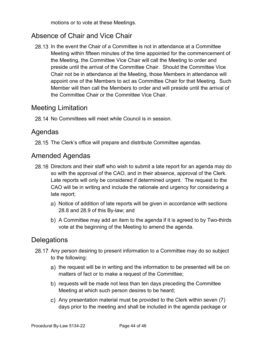motions or to vote at these Meetings.

#### <span id="page-43-0"></span>Absence of Chair and Vice Chair

28.13 In the event the Chair of a Committee is not in attendance at a Committee Meeting within fifteen minutes of the time appointed for the commencement of the Meeting, the Committee Vice Chair will call the Meeting to order and preside until the arrival of the Committee Chair. Should the Committee Vice Chair not be in attendance at the Meeting, those Members in attendance will appoint one of the Members to act as Committee Chair for that Meeting. Such Member will then call the Members to order and will preside until the arrival of the Committee Chair or the Committee Vice Chair.

#### <span id="page-43-1"></span>Meeting Limitation

28.14 No Committees will meet while Council is in session.

#### <span id="page-43-2"></span>Agendas

28.15 The Clerk's office will prepare and distribute Committee agendas.

#### <span id="page-43-3"></span>Amended Agendas

- 28.16 Directors and their staff who wish to submit a late report for an agenda may do so with the approval of the CAO, and in their absence, approval of the Clerk. Late reports will only be considered if determined urgent. The request to the CAO will be in writing and include the rationale and urgency for considering a late report;
	- a) Notice of addition of late reports will be given in accordance with sections 28.8 and 28.9 of this By-law; and
	- A Committee may add an item to the agenda if it is agreed to by Two-thirds vote at the beginning of the Meeting to amend the agenda.

#### <span id="page-43-4"></span>**Delegations**

- 28.17 Any person desiring to present information to a Committee may do so subject to the following:
	- a) the request will be in writing and the information to be presented will be on matters of fact or to make a request of the Committee;
	- b) requests will be made not less than ten days preceding the Committee Meeting at which such person desires to be heard;
	- Any presentation material must be provided to the Clerk within seven (7) days prior to the meeting and shall be included in the agenda package or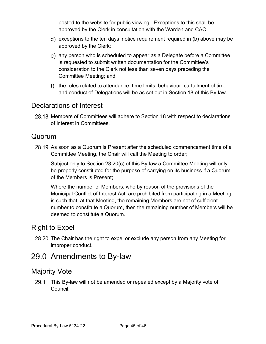posted to the website for public viewing. Exceptions to this shall be approved by the Clerk in consultation with the Warden and CAO.

- d) exceptions to the ten days' notice requirement required in (b) above may be approved by the Clerk;
- any person who is scheduled to appear as a Delegate before a Committee is requested to submit written documentation for the Committee's consideration to the Clerk not less than seven days preceding the Committee Meeting; and
- f) the rules related to attendance, time limits, behaviour, curtailment of time and conduct of Delegations will be as set out in Section 18 of this By-law.

#### <span id="page-44-0"></span>Declarations of Interest

28.18 Members of Committees will adhere to Section 18 with respect to declarations of interest in Committees.

#### <span id="page-44-1"></span>Quorum

28.19 As soon as a Quorum is Present after the scheduled commencement time of a Committee Meeting, the Chair will call the Meeting to order;

Subject only to Section 28.20(c) of this By-law a Committee Meeting will only be properly constituted for the purpose of carrying on its business if a Quorum of the Members is Present;

Where the number of Members, who by reason of the provisions of the Municipal Conflict of Interest Act, are prohibited from participating in a Meeting is such that, at that Meeting, the remaining Members are not of sufficient number to constitute a Quorum, then the remaining number of Members will be deemed to constitute a Quorum.

#### <span id="page-44-2"></span>Right to Expel

28.20 The Chair has the right to expel or exclude any person from any Meeting for improper conduct.

#### <span id="page-44-3"></span>29.0 Amendments to By-law

#### <span id="page-44-4"></span>Majority Vote

29.1 This By-law will not be amended or repealed except by a Majority vote of Council.